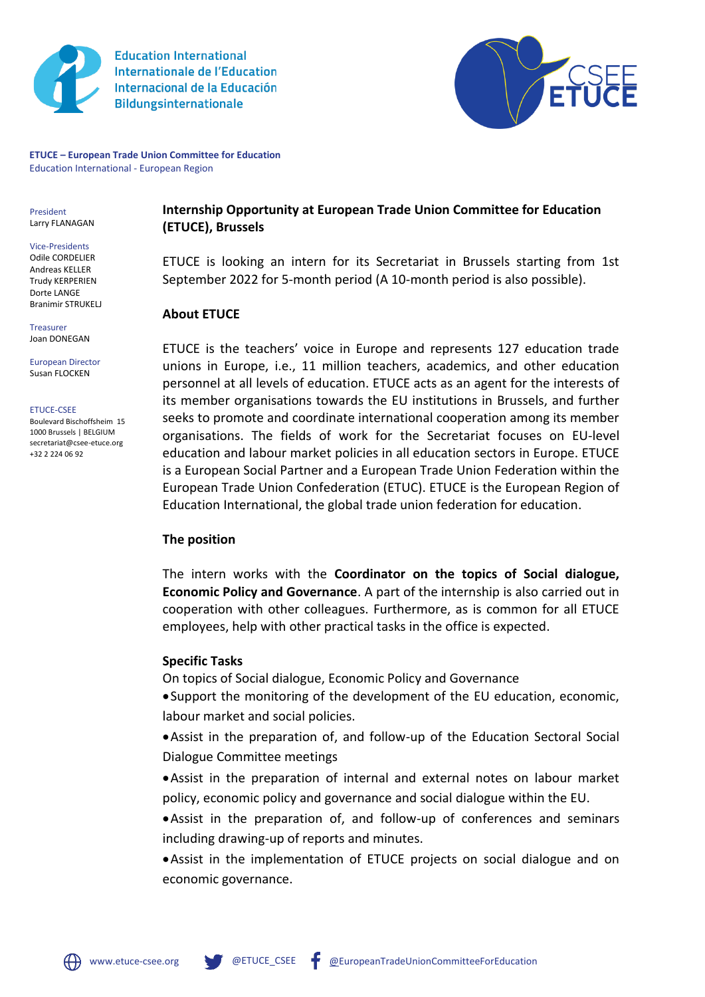

**Education International Internationale de l'Education** Internacional de la Educación **Bildungsinternationale** 



**ETUCE – European Trade Union Committee for Education** Education International - European Region

President Larry FLANAGAN

Vice-Presidents Odile CORDELIER Andreas KELLER Trudy KERPERIEN Dorte LANGE Branimir STRUKELJ

Treasurer Joan DONEGAN

European Director Susan FLOCKEN

ETUCE-CSEE

Boulevard Bischoffsheim 15 1000 Brussels | BELGIUM secretariat@csee-etuce.org +32 2 224 06 92

**Internship Opportunity at European Trade Union Committee for Education (ETUCE), Brussels**

ETUCE is looking an intern for its Secretariat in Brussels starting from 1st September 2022 for 5-month period (A 10-month period is also possible).

### **About ETUCE**

[ETUCE](https://www.csee-etuce.org/en/) is the teachers' voice in Europe and represents 127 education trade unions in Europe, i.e., 11 million teachers, academics, and other education personnel at all levels of education. ETUCE acts as an agent for the interests of its member organisations towards the EU institutions in Brussels, and further seeks to promote and coordinate international cooperation among its member organisations. The fields of work for the Secretariat focuses on EU-level education and labour market policies in all education sectors in Europe. ETUCE is a European Social Partner and a European Trade Union Federation within the European Trade Union Confederation (ETUC). ETUCE is the European Region of Education International, the global trade union federation for education.

## **The position**

The intern works with the **Coordinator on the topics of Social dialogue, Economic Policy and Governance**. A part of the internship is also carried out in cooperation with other colleagues. Furthermore, as is common for all ETUCE employees, help with other practical tasks in the office is expected.

## **Specific Tasks**

On topics of Social dialogue, Economic Policy and Governance

•Support the monitoring of the development of the EU education, economic, labour market and social policies.

•Assist in the preparation of, and follow-up of the Education Sectoral Social Dialogue Committee meetings

•Assist in the preparation of internal and external notes on labour market policy, economic policy and governance and social dialogue within the EU.

•Assist in the preparation of, and follow-up of conferences and seminars including drawing-up of reports and minutes.

•Assist in the implementation of ETUCE projects on social dialogue and on economic governance.